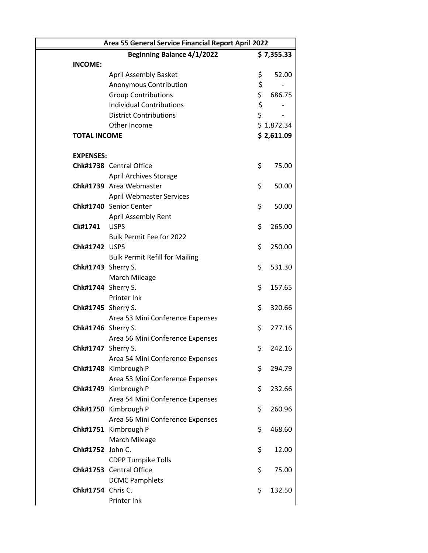|                     | Area 55 General Service Financial Report April 2022 |          |            |  |  |
|---------------------|-----------------------------------------------------|----------|------------|--|--|
|                     | <b>Beginning Balance 4/1/2022</b>                   |          | \$7,355.33 |  |  |
| <b>INCOME:</b>      |                                                     |          |            |  |  |
|                     | <b>April Assembly Basket</b>                        | \$       | 52.00      |  |  |
|                     | Anonymous Contribution                              | \$       |            |  |  |
|                     | <b>Group Contributions</b>                          | \$       | 686.75     |  |  |
|                     | <b>Individual Contributions</b>                     | \$<br>\$ |            |  |  |
|                     | <b>District Contributions</b>                       |          |            |  |  |
|                     | Other Income                                        |          | \$1,872.34 |  |  |
| <b>TOTAL INCOME</b> |                                                     |          | \$2,611.09 |  |  |
|                     |                                                     |          |            |  |  |
| <b>EXPENSES:</b>    |                                                     |          |            |  |  |
|                     | Chk#1738 Central Office                             | \$       | 75.00      |  |  |
|                     | <b>April Archives Storage</b>                       |          |            |  |  |
|                     | Chk#1739 Area Webmaster                             | \$       | 50.00      |  |  |
|                     | <b>April Webmaster Services</b>                     |          |            |  |  |
|                     | Chk#1740 Senior Center                              | \$       | 50.00      |  |  |
|                     | April Assembly Rent                                 |          |            |  |  |
| Ck#1741             | <b>USPS</b>                                         | \$       | 265.00     |  |  |
|                     | Bulk Permit Fee for 2022                            |          |            |  |  |
| Chk#1742 USPS       |                                                     | \$       | 250.00     |  |  |
|                     | <b>Bulk Permit Refill for Mailing</b>               |          |            |  |  |
| Chk#1743 Sherry S.  |                                                     | \$       | 531.30     |  |  |
|                     | March Mileage                                       |          |            |  |  |
| Chk#1744 Sherry S.  |                                                     | \$       | 157.65     |  |  |
|                     | Printer Ink                                         |          |            |  |  |
| Chk#1745 Sherry S.  |                                                     | \$       | 320.66     |  |  |
|                     | Area 53 Mini Conference Expenses                    |          |            |  |  |
| Chk#1746 Sherry S.  |                                                     | \$       | 277.16     |  |  |
|                     | Area 56 Mini Conference Expenses                    |          |            |  |  |
| Chk#1747 Sherry S.  |                                                     | \$       | 242.16     |  |  |
|                     | Area 54 Mini Conference Expenses                    |          |            |  |  |
|                     | Chk#1748 Kimbrough P                                | \$       | 294.79     |  |  |
|                     | Area 53 Mini Conference Expenses                    |          |            |  |  |
|                     | Chk#1749 Kimbrough P                                | \$       | 232.66     |  |  |
|                     | Area 54 Mini Conference Expenses                    |          |            |  |  |
|                     | Chk#1750 Kimbrough P                                | \$       | 260.96     |  |  |
|                     | Area 56 Mini Conference Expenses                    |          |            |  |  |
|                     |                                                     | \$       |            |  |  |
|                     | Chk#1751 Kimbrough P                                |          | 468.60     |  |  |
| Chk#1752 John C.    | March Mileage                                       | \$       |            |  |  |
|                     |                                                     |          | 12.00      |  |  |
|                     | <b>CDPP Turnpike Tolls</b>                          |          |            |  |  |
|                     | Chk#1753 Central Office                             | \$       | 75.00      |  |  |
|                     | <b>DCMC Pamphlets</b>                               |          |            |  |  |
| Chk#1754 Chris C.   |                                                     | \$       | 132.50     |  |  |
|                     | Printer Ink                                         |          |            |  |  |